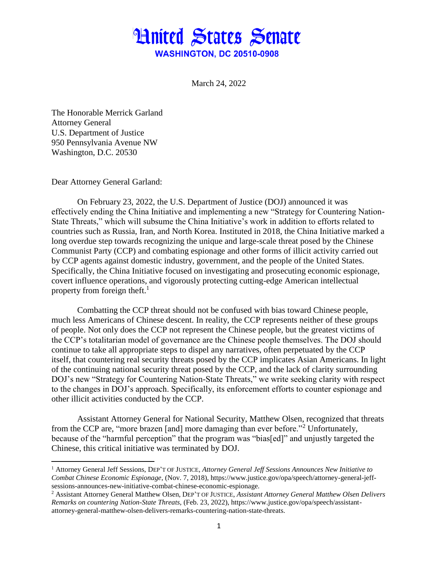## **Hnited States Senate WASHINGTON, DC 20510-0908**

March 24, 2022

The Honorable Merrick Garland Attorney General U.S. Department of Justice 950 Pennsylvania Avenue NW Washington, D.C. 20530

Dear Attorney General Garland:

 $\overline{\phantom{a}}$ 

On February 23, 2022, the U.S. Department of Justice (DOJ) announced it was effectively ending the China Initiative and implementing a new "Strategy for Countering Nation-State Threats," which will subsume the China Initiative's work in addition to efforts related to countries such as Russia, Iran, and North Korea. Instituted in 2018, the China Initiative marked a long overdue step towards recognizing the unique and large-scale threat posed by the Chinese Communist Party (CCP) and combating espionage and other forms of illicit activity carried out by CCP agents against domestic industry, government, and the people of the United States. Specifically, the China Initiative focused on investigating and prosecuting economic espionage, covert influence operations, and vigorously protecting cutting-edge American intellectual property from foreign theft. $<sup>1</sup>$ </sup>

Combatting the CCP threat should not be confused with bias toward Chinese people, much less Americans of Chinese descent. In reality, the CCP represents neither of these groups of people. Not only does the CCP not represent the Chinese people, but the greatest victims of the CCP's totalitarian model of governance are the Chinese people themselves. The DOJ should continue to take all appropriate steps to dispel any narratives, often perpetuated by the CCP itself, that countering real security threats posed by the CCP implicates Asian Americans. In light of the continuing national security threat posed by the CCP, and the lack of clarity surrounding DOJ's new "Strategy for Countering Nation-State Threats," we write seeking clarity with respect to the changes in DOJ's approach. Specifically, its enforcement efforts to counter espionage and other illicit activities conducted by the CCP.

Assistant Attorney General for National Security, Matthew Olsen, recognized that threats from the CCP are, "more brazen [and] more damaging than ever before."<sup>2</sup> Unfortunately, because of the "harmful perception" that the program was "bias[ed]" and unjustly targeted the Chinese, this critical initiative was terminated by DOJ.

<sup>1</sup> Attorney General Jeff Sessions, DEP'T OF JUSTICE, *Attorney General Jeff Sessions Announces New Initiative to Combat Chinese Economic Espionage*, (Nov. 7, 2018), https://www.justice.gov/opa/speech/attorney-general-jeffsessions-announces-new-initiative-combat-chinese-economic-espionage.

<sup>2</sup> Assistant Attorney General Matthew Olsen, DEP'T OF JUSTICE, *Assistant Attorney General Matthew Olsen Delivers Remarks on countering Nation-State Threats,* (Feb. 23, 2022), https://www.justice.gov/opa/speech/assistantattorney-general-matthew-olsen-delivers-remarks-countering-nation-state-threats.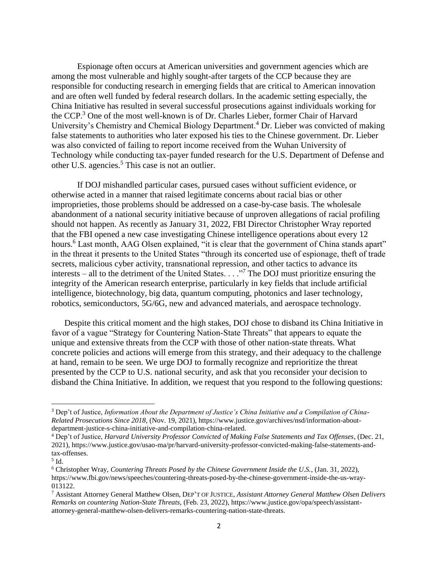Espionage often occurs at American universities and government agencies which are among the most vulnerable and highly sought-after targets of the CCP because they are responsible for conducting research in emerging fields that are critical to American innovation and are often well funded by federal research dollars. In the academic setting especially, the China Initiative has resulted in several successful prosecutions against individuals working for the CCP.<sup>3</sup> One of the most well-known is of Dr. Charles Lieber, former Chair of Harvard University's Chemistry and Chemical Biology Department.<sup>4</sup> Dr. Lieber was convicted of making false statements to authorities who later exposed his ties to the Chinese government. Dr. Lieber was also convicted of failing to report income received from the Wuhan University of Technology while conducting tax-payer funded research for the U.S. Department of Defense and other U.S. agencies.<sup>5</sup> This case is not an outlier.

If DOJ mishandled particular cases, pursued cases without sufficient evidence, or otherwise acted in a manner that raised legitimate concerns about racial bias or other improprieties, those problems should be addressed on a case-by-case basis. The wholesale abandonment of a national security initiative because of unproven allegations of racial profiling should not happen. As recently as January 31, 2022, FBI Director Christopher Wray reported that the FBI opened a new case investigating Chinese intelligence operations about every 12 hours.<sup>6</sup> Last month, AAG Olsen explained, "it is clear that the government of China stands apart" in the threat it presents to the United States "through its concerted use of espionage, theft of trade secrets, malicious cyber activity, transnational repression, and other tactics to advance its interests – all to the detriment of the United States. . . ."<sup>7</sup> The DOJ must prioritize ensuring the integrity of the American research enterprise, particularly in key fields that include artificial intelligence, biotechnology, big data, quantum computing, photonics and laser technology, robotics, semiconductors, 5G/6G, new and advanced materials, and aerospace technology.

Despite this critical moment and the high stakes, DOJ chose to disband its China Initiative in favor of a vague "Strategy for Countering Nation-State Threats" that appears to equate the unique and extensive threats from the CCP with those of other nation-state threats. What concrete policies and actions will emerge from this strategy, and their adequacy to the challenge at hand, remain to be seen. We urge DOJ to formally recognize and reprioritize the threat presented by the CCP to U.S. national security, and ask that you reconsider your decision to disband the China Initiative. In addition, we request that you respond to the following questions:

 $\overline{\phantom{a}}$ 

<sup>3</sup> Dep't of Justice, *Information About the Department of Justice's China Initiative and a Compilation of China-Related Prosecutions Since 2018*, (Nov. 19, 2021), https://www.justice.gov/archives/nsd/information-aboutdepartment-justice-s-china-initiative-and-compilation-china-related.

<sup>4</sup> Dep't of Justice, *Harvard University Professor Convicted of Making False Statements and Tax Offenses*, (Dec. 21, 2021), https://www.justice.gov/usao-ma/pr/harvard-university-professor-convicted-making-false-statements-andtax-offenses.

 $^5$  Id.

<sup>6</sup> Christopher Wray, *Countering Threats Posed by the Chinese Government Inside the U.S.*, (Jan. 31, 2022), https://www.fbi.gov/news/speeches/countering-threats-posed-by-the-chinese-government-inside-the-us-wray-013122.

<sup>7</sup> Assistant Attorney General Matthew Olsen, DEP'T OF JUSTICE, *Assistant Attorney General Matthew Olsen Delivers Remarks on countering Nation-State Threats,* (Feb. 23, 2022), https://www.justice.gov/opa/speech/assistantattorney-general-matthew-olsen-delivers-remarks-countering-nation-state-threats.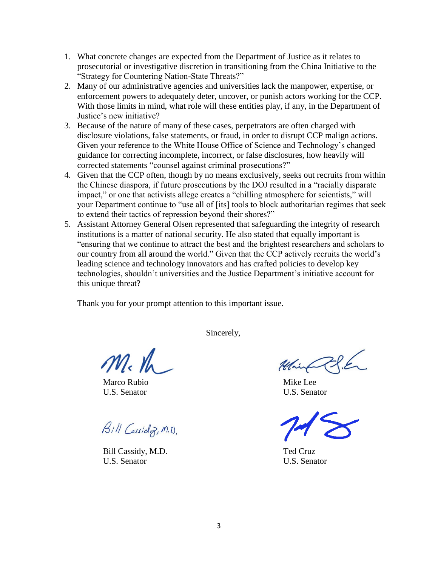- 1. What concrete changes are expected from the Department of Justice as it relates to prosecutorial or investigative discretion in transitioning from the China Initiative to the "Strategy for Countering Nation-State Threats?"
- 2. Many of our administrative agencies and universities lack the manpower, expertise, or enforcement powers to adequately deter, uncover, or punish actors working for the CCP. With those limits in mind, what role will these entities play, if any, in the Department of Justice's new initiative?
- 3. Because of the nature of many of these cases, perpetrators are often charged with disclosure violations, false statements, or fraud, in order to disrupt CCP malign actions. Given your reference to the White House Office of Science and Technology's changed guidance for correcting incomplete, incorrect, or false disclosures, how heavily will corrected statements "counsel against criminal prosecutions?"
- 4. Given that the CCP often, though by no means exclusively, seeks out recruits from within the Chinese diaspora, if future prosecutions by the DOJ resulted in a "racially disparate impact," or one that activists allege creates a "chilling atmosphere for scientists," will your Department continue to "use all of [its] tools to block authoritarian regimes that seek to extend their tactics of repression beyond their shores?"
- 5. Assistant Attorney General Olsen represented that safeguarding the integrity of research institutions is a matter of national security. He also stated that equally important is "ensuring that we continue to attract the best and the brightest researchers and scholars to our country from all around the world." Given that the CCP actively recruits the world's leading science and technology innovators and has crafted policies to develop key technologies, shouldn't universities and the Justice Department's initiative account for this unique threat?

Thank you for your prompt attention to this important issue.

Sincerely,

 $m_{\rm k}$  th

Marco Rubio **Mike Lee** U.S. Senator U.S. Senator

Bill Cassidy, M.D.

Bill Cassidy, M.D. Ted Cruz U.S. Senator U.S. Senator

Main